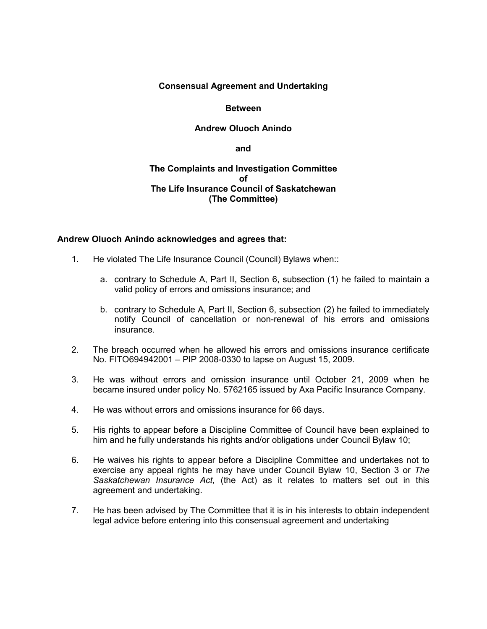## **Consensual Agreement and Undertaking**

## **Between**

# **Andrew Oluoch Anindo**

**and**

## **The Complaints and Investigation Committee of The Life Insurance Council of Saskatchewan (The Committee)**

#### **Andrew Oluoch Anindo acknowledges and agrees that:**

- 1. He violated The Life Insurance Council (Council) Bylaws when::
	- a. contrary to Schedule A, Part II, Section 6, subsection (1) he failed to maintain a valid policy of errors and omissions insurance; and
	- b. contrary to Schedule A, Part II, Section 6, subsection (2) he failed to immediately notify Council of cancellation or non-renewal of his errors and omissions insurance.
- 2. The breach occurred when he allowed his errors and omissions insurance certificate No. FITO694942001 – PIP 2008-0330 to lapse on August 15, 2009.
- 3. He was without errors and omission insurance until October 21, 2009 when he became insured under policy No. 5762165 issued by Axa Pacific Insurance Company.
- 4. He was without errors and omissions insurance for 66 days.
- 5. His rights to appear before a Discipline Committee of Council have been explained to him and he fully understands his rights and/or obligations under Council Bylaw 10;
- 6. He waives his rights to appear before a Discipline Committee and undertakes not to exercise any appeal rights he may have under Council Bylaw 10, Section 3 or *The Saskatchewan Insurance Act,* (the Act) as it relates to matters set out in this agreement and undertaking.
- 7. He has been advised by The Committee that it is in his interests to obtain independent legal advice before entering into this consensual agreement and undertaking